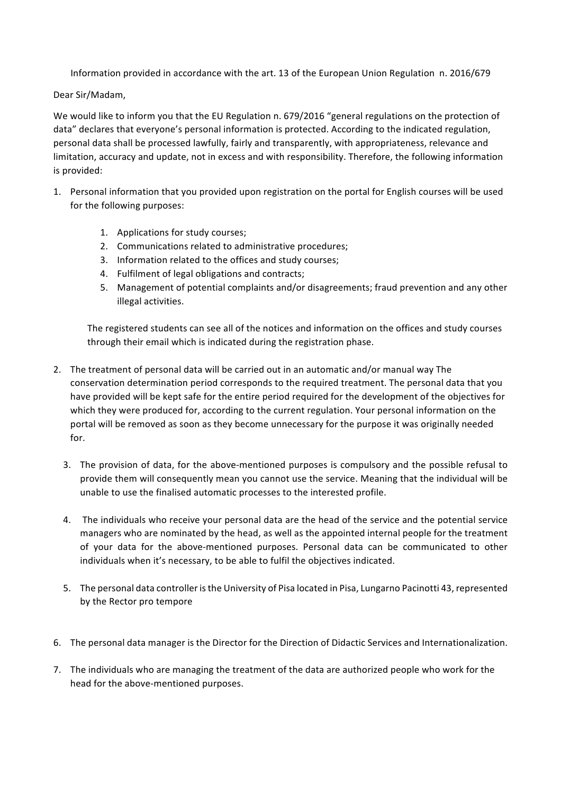Information provided in accordance with the art. 13 of the European Union Regulation n. 2016/679

Dear Sir/Madam,

We would like to inform you that the EU Regulation n. 679/2016 "general regulations on the protection of data" declares that everyone's personal information is protected. According to the indicated regulation, personal data shall be processed lawfully, fairly and transparently, with appropriateness, relevance and limitation, accuracy and update, not in excess and with responsibility. Therefore, the following information is provided:

- 1. Personal information that you provided upon registration on the portal for English courses will be used for the following purposes:
	- 1. Applications for study courses;
	- 2. Communications related to administrative procedures;
	- 3. Information related to the offices and study courses;
	- 4. Fulfilment of legal obligations and contracts;
	- 5. Management of potential complaints and/or disagreements; fraud prevention and any other illegal activities.

The registered students can see all of the notices and information on the offices and study courses through their email which is indicated during the registration phase.

- 2. The treatment of personal data will be carried out in an automatic and/or manual way The conservation determination period corresponds to the required treatment. The personal data that you have provided will be kept safe for the entire period required for the development of the objectives for which they were produced for, according to the current regulation. Your personal information on the portal will be removed as soon as they become unnecessary for the purpose it was originally needed for.
	- 3. The provision of data, for the above-mentioned purposes is compulsory and the possible refusal to provide them will consequently mean you cannot use the service. Meaning that the individual will be unable to use the finalised automatic processes to the interested profile.
	- 4. The individuals who receive your personal data are the head of the service and the potential service managers who are nominated by the head, as well as the appointed internal people for the treatment of your data for the above-mentioned purposes. Personal data can be communicated to other individuals when it's necessary, to be able to fulfil the objectives indicated.
	- 5. The personal data controller is the University of Pisa located in Pisa, Lungarno Pacinotti 43, represented by the Rector pro tempore
- 6. The personal data manager is the Director for the Direction of Didactic Services and Internationalization.
- 7. The individuals who are managing the treatment of the data are authorized people who work for the head for the above-mentioned purposes.